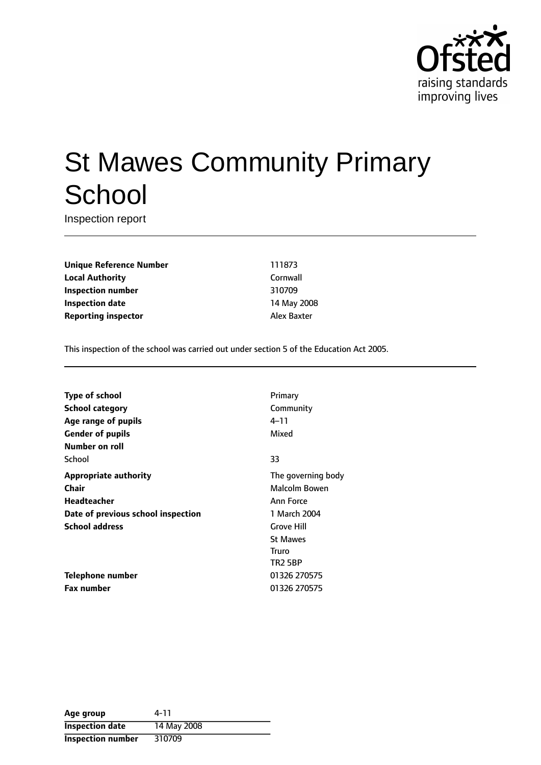

# St Mawes Community Primary **School**

Inspection report

**Unique Reference Number** 111873 **Local Authority** Cornwall **Inspection number** 310709 **Inspection date** 14 May 2008 **Reporting inspector** Alex Baxter

This inspection of the school was carried out under section 5 of the Education Act 2005.

| Type of school                     | Primary            |
|------------------------------------|--------------------|
| School category                    | Community          |
| Age range of pupils                | 4–11               |
| <b>Gender of pupils</b>            | Mixed              |
| Number on roll                     |                    |
| School                             | 33                 |
| <b>Appropriate authority</b>       | The governing body |
| Chair                              | Malcolm Bowen      |
| Headteacher                        | Ann Force          |
| Date of previous school inspection | 1 March 2004       |
| <b>School address</b>              | <b>Grove Hill</b>  |
|                                    | <b>St Mawes</b>    |
|                                    | Truro              |
|                                    | <b>TR2 5BP</b>     |
| Telephone number                   | 01326 270575       |
| <b>Fax number</b>                  | 01326 270575       |

| Age group                | 4-11        |
|--------------------------|-------------|
| <b>Inspection date</b>   | 14 May 2008 |
| <b>Inspection number</b> | 310709      |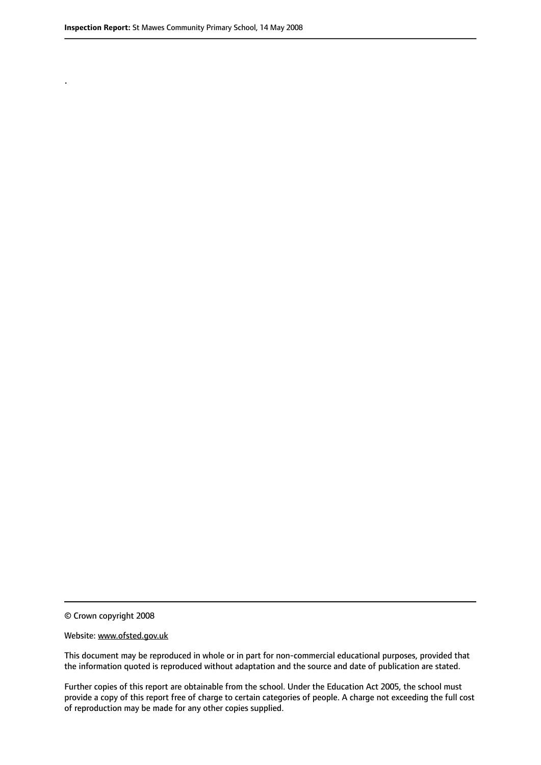.

© Crown copyright 2008

#### Website: www.ofsted.gov.uk

This document may be reproduced in whole or in part for non-commercial educational purposes, provided that the information quoted is reproduced without adaptation and the source and date of publication are stated.

Further copies of this report are obtainable from the school. Under the Education Act 2005, the school must provide a copy of this report free of charge to certain categories of people. A charge not exceeding the full cost of reproduction may be made for any other copies supplied.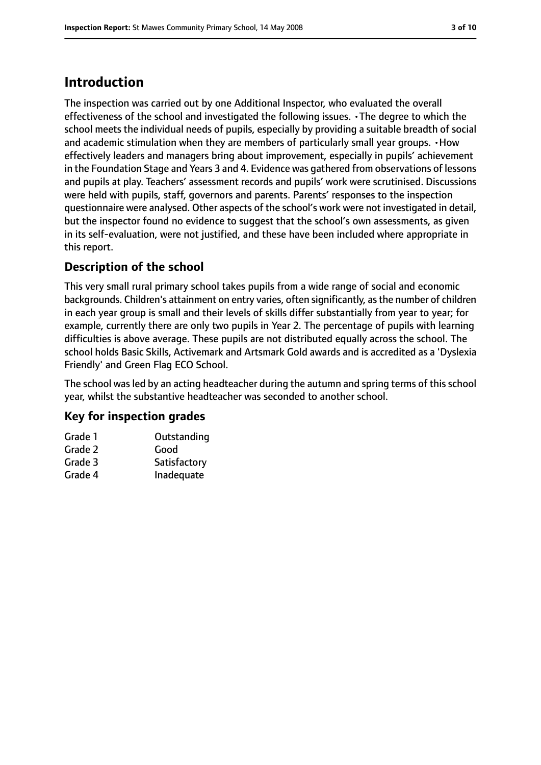# **Introduction**

The inspection was carried out by one Additional Inspector, who evaluated the overall effectiveness of the school and investigated the following issues. •The degree to which the school meets the individual needs of pupils, especially by providing a suitable breadth of social and academic stimulation when they are members of particularly small year groups. •How effectively leaders and managers bring about improvement, especially in pupils' achievement in the Foundation Stage and Years 3 and 4. Evidence was gathered from observations of lessons and pupils at play. Teachers' assessment records and pupils' work were scrutinised. Discussions were held with pupils, staff, governors and parents. Parents' responses to the inspection questionnaire were analysed. Other aspects of the school's work were not investigated in detail, but the inspector found no evidence to suggest that the school's own assessments, as given in its self-evaluation, were not justified, and these have been included where appropriate in this report.

# **Description of the school**

This very small rural primary school takes pupils from a wide range of social and economic backgrounds. Children's attainment on entry varies, often significantly, as the number of children in each year group is small and their levels of skills differ substantially from year to year; for example, currently there are only two pupils in Year 2. The percentage of pupils with learning difficulties is above average. These pupils are not distributed equally across the school. The school holds Basic Skills, Activemark and Artsmark Gold awards and is accredited as a 'Dyslexia Friendly' and Green Flag ECO School.

The school was led by an acting headteacher during the autumn and spring terms of this school year, whilst the substantive headteacher was seconded to another school.

# **Key for inspection grades**

| Grade 1 | Outstanding  |
|---------|--------------|
| Grade 2 | Good         |
| Grade 3 | Satisfactory |
| Grade 4 | Inadequate   |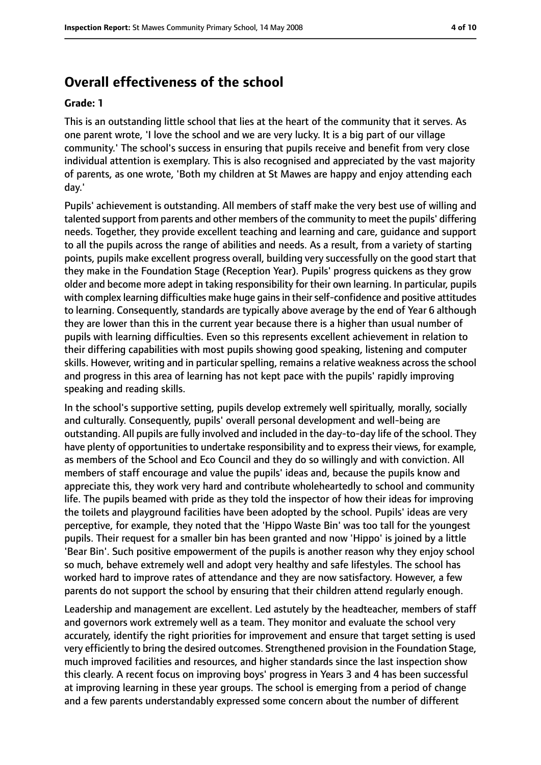# **Overall effectiveness of the school**

#### **Grade: 1**

This is an outstanding little school that lies at the heart of the community that it serves. As one parent wrote, 'I love the school and we are very lucky. It is a big part of our village community.' The school's success in ensuring that pupils receive and benefit from very close individual attention is exemplary. This is also recognised and appreciated by the vast majority of parents, as one wrote, 'Both my children at St Mawes are happy and enjoy attending each day.'

Pupils' achievement is outstanding. All members of staff make the very best use of willing and talented support from parents and other members of the community to meet the pupils' differing needs. Together, they provide excellent teaching and learning and care, guidance and support to all the pupils across the range of abilities and needs. As a result, from a variety of starting points, pupils make excellent progress overall, building very successfully on the good start that they make in the Foundation Stage (Reception Year). Pupils' progress quickens as they grow older and become more adept in taking responsibility for their own learning. In particular, pupils with complex learning difficulties make huge gains in their self-confidence and positive attitudes to learning. Consequently, standards are typically above average by the end of Year 6 although they are lower than this in the current year because there is a higher than usual number of pupils with learning difficulties. Even so this represents excellent achievement in relation to their differing capabilities with most pupils showing good speaking, listening and computer skills. However, writing and in particular spelling, remains a relative weakness across the school and progress in this area of learning has not kept pace with the pupils' rapidly improving speaking and reading skills.

In the school's supportive setting, pupils develop extremely well spiritually, morally, socially and culturally. Consequently, pupils' overall personal development and well-being are outstanding. All pupils are fully involved and included in the day-to-day life of the school. They have plenty of opportunities to undertake responsibility and to express their views, for example, as members of the School and Eco Council and they do so willingly and with conviction. All members of staff encourage and value the pupils' ideas and, because the pupils know and appreciate this, they work very hard and contribute wholeheartedly to school and community life. The pupils beamed with pride as they told the inspector of how their ideas for improving the toilets and playground facilities have been adopted by the school. Pupils' ideas are very perceptive, for example, they noted that the 'Hippo Waste Bin' was too tall for the youngest pupils. Their request for a smaller bin has been granted and now 'Hippo' is joined by a little 'Bear Bin'. Such positive empowerment of the pupils is another reason why they enjoy school so much, behave extremely well and adopt very healthy and safe lifestyles. The school has worked hard to improve rates of attendance and they are now satisfactory. However, a few parents do not support the school by ensuring that their children attend regularly enough.

Leadership and management are excellent. Led astutely by the headteacher, members of staff and governors work extremely well as a team. They monitor and evaluate the school very accurately, identify the right priorities for improvement and ensure that target setting is used very efficiently to bring the desired outcomes. Strengthened provision in the Foundation Stage, much improved facilities and resources, and higher standards since the last inspection show this clearly. A recent focus on improving boys' progress in Years 3 and 4 has been successful at improving learning in these year groups. The school is emerging from a period of change and a few parents understandably expressed some concern about the number of different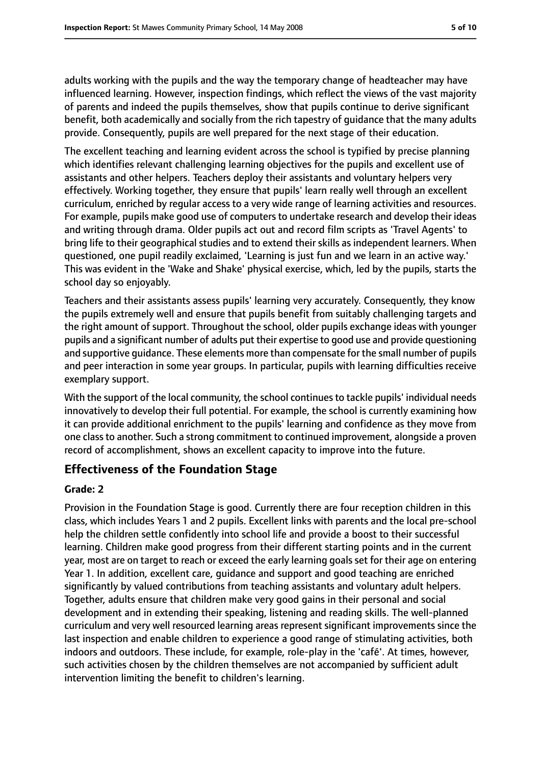adults working with the pupils and the way the temporary change of headteacher may have influenced learning. However, inspection findings, which reflect the views of the vast majority of parents and indeed the pupils themselves, show that pupils continue to derive significant benefit, both academically and socially from the rich tapestry of guidance that the many adults provide. Consequently, pupils are well prepared for the next stage of their education.

The excellent teaching and learning evident across the school is typified by precise planning which identifies relevant challenging learning objectives for the pupils and excellent use of assistants and other helpers. Teachers deploy their assistants and voluntary helpers very effectively. Working together, they ensure that pupils' learn really well through an excellent curriculum, enriched by regular access to a very wide range of learning activities and resources. For example, pupils make good use of computers to undertake research and develop their ideas and writing through drama. Older pupils act out and record film scripts as 'Travel Agents' to bring life to their geographical studies and to extend their skills as independent learners. When questioned, one pupil readily exclaimed, 'Learning is just fun and we learn in an active way.' This was evident in the 'Wake and Shake' physical exercise, which, led by the pupils, starts the school day so enjoyably.

Teachers and their assistants assess pupils' learning very accurately. Consequently, they know the pupils extremely well and ensure that pupils benefit from suitably challenging targets and the right amount of support. Throughout the school, older pupils exchange ideas with younger pupils and a significant number of adults put their expertise to good use and provide questioning and supportive guidance. These elements more than compensate for the small number of pupils and peer interaction in some year groups. In particular, pupils with learning difficulties receive exemplary support.

With the support of the local community, the school continues to tackle pupils' individual needs innovatively to develop their full potential. For example, the school is currently examining how it can provide additional enrichment to the pupils' learning and confidence as they move from one classto another. Such a strong commitment to continued improvement, alongside a proven record of accomplishment, shows an excellent capacity to improve into the future.

# **Effectiveness of the Foundation Stage**

#### **Grade: 2**

Provision in the Foundation Stage is good. Currently there are four reception children in this class, which includes Years 1 and 2 pupils. Excellent links with parents and the local pre-school help the children settle confidently into school life and provide a boost to their successful learning. Children make good progress from their different starting points and in the current year, most are on target to reach or exceed the early learning goals set for their age on entering Year 1. In addition, excellent care, guidance and support and good teaching are enriched significantly by valued contributions from teaching assistants and voluntary adult helpers. Together, adults ensure that children make very good gains in their personal and social development and in extending their speaking, listening and reading skills. The well-planned curriculum and very well resourced learning areas represent significant improvements since the last inspection and enable children to experience a good range of stimulating activities, both indoors and outdoors. These include, for example, role-play in the 'café'. At times, however, such activities chosen by the children themselves are not accompanied by sufficient adult intervention limiting the benefit to children's learning.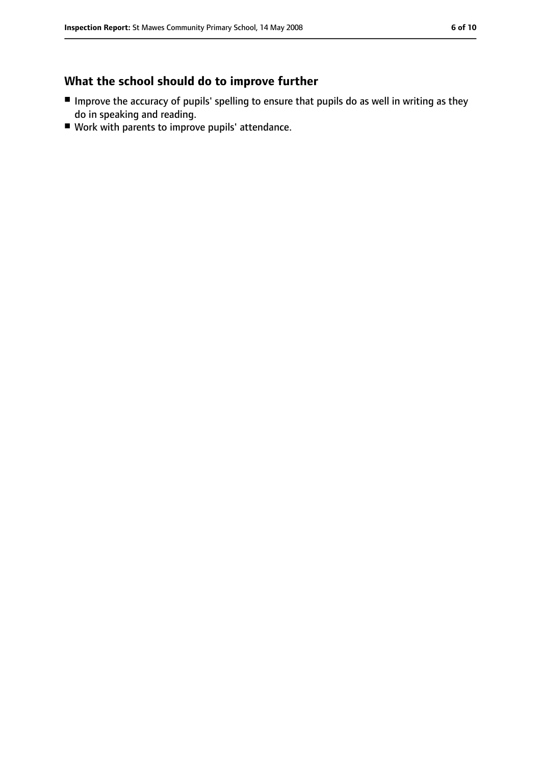# **What the school should do to improve further**

- Improve the accuracy of pupils' spelling to ensure that pupils do as well in writing as they do in speaking and reading.
- Work with parents to improve pupils' attendance.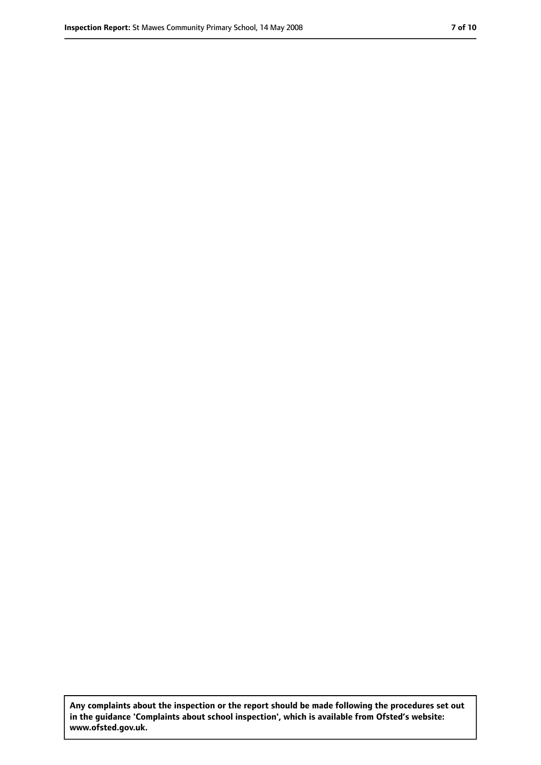**Any complaints about the inspection or the report should be made following the procedures set out in the guidance 'Complaints about school inspection', which is available from Ofsted's website: www.ofsted.gov.uk.**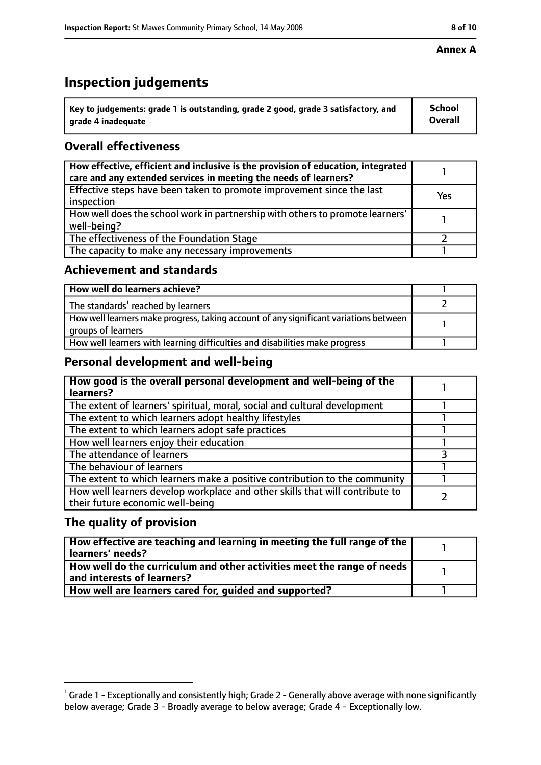# **Inspection judgements**

| $^{\backprime}$ Key to judgements: grade 1 is outstanding, grade 2 good, grade 3 satisfactory, and | <b>School</b>  |
|----------------------------------------------------------------------------------------------------|----------------|
| arade 4 inadequate                                                                                 | <b>Overall</b> |

# **Overall effectiveness**

| How effective, efficient and inclusive is the provision of education, integrated<br>care and any extended services in meeting the needs of learners? |     |
|------------------------------------------------------------------------------------------------------------------------------------------------------|-----|
| Effective steps have been taken to promote improvement since the last<br>inspection                                                                  | Yes |
| How well does the school work in partnership with others to promote learners'<br>well-being?                                                         |     |
| The effectiveness of the Foundation Stage                                                                                                            |     |
| The capacity to make any necessary improvements                                                                                                      |     |

### **Achievement and standards**

| How well do learners achieve?                                                                               |  |
|-------------------------------------------------------------------------------------------------------------|--|
| The standards <sup>1</sup> reached by learners                                                              |  |
| How well learners make progress, taking account of any significant variations between<br>groups of learners |  |
| How well learners with learning difficulties and disabilities make progress                                 |  |

# **Personal development and well-being**

| How good is the overall personal development and well-being of the<br>learners?                                  |  |
|------------------------------------------------------------------------------------------------------------------|--|
| The extent of learners' spiritual, moral, social and cultural development                                        |  |
| The extent to which learners adopt healthy lifestyles                                                            |  |
| The extent to which learners adopt safe practices                                                                |  |
| How well learners enjoy their education                                                                          |  |
| The attendance of learners                                                                                       |  |
| The behaviour of learners                                                                                        |  |
| The extent to which learners make a positive contribution to the community                                       |  |
| How well learners develop workplace and other skills that will contribute to<br>their future economic well-being |  |

# **The quality of provision**

| How effective are teaching and learning in meeting the full range of the<br>learners' needs?          |  |
|-------------------------------------------------------------------------------------------------------|--|
| How well do the curriculum and other activities meet the range of needs<br>and interests of learners? |  |
| How well are learners cared for, quided and supported?                                                |  |

 $^1$  Grade 1 - Exceptionally and consistently high; Grade 2 - Generally above average with none significantly below average; Grade 3 - Broadly average to below average; Grade 4 - Exceptionally low.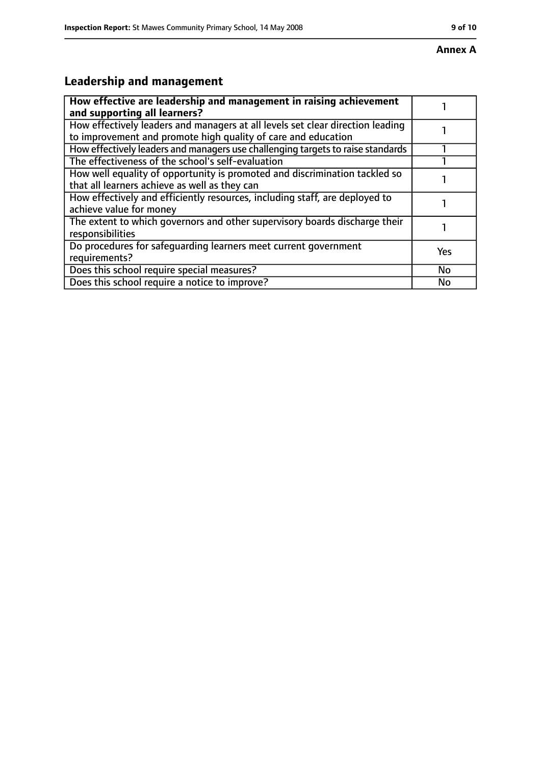# **Leadership and management**

| How effective are leadership and management in raising achievement<br>and supporting all learners?                                              |           |
|-------------------------------------------------------------------------------------------------------------------------------------------------|-----------|
| How effectively leaders and managers at all levels set clear direction leading<br>to improvement and promote high quality of care and education |           |
| How effectively leaders and managers use challenging targets to raise standards                                                                 |           |
| The effectiveness of the school's self-evaluation                                                                                               |           |
| How well equality of opportunity is promoted and discrimination tackled so<br>that all learners achieve as well as they can                     |           |
| How effectively and efficiently resources, including staff, are deployed to<br>achieve value for money                                          |           |
| The extent to which governors and other supervisory boards discharge their<br>responsibilities                                                  |           |
| Do procedures for safequarding learners meet current government<br>requirements?                                                                | Yes       |
| Does this school require special measures?                                                                                                      | <b>No</b> |
| Does this school require a notice to improve?                                                                                                   | No        |